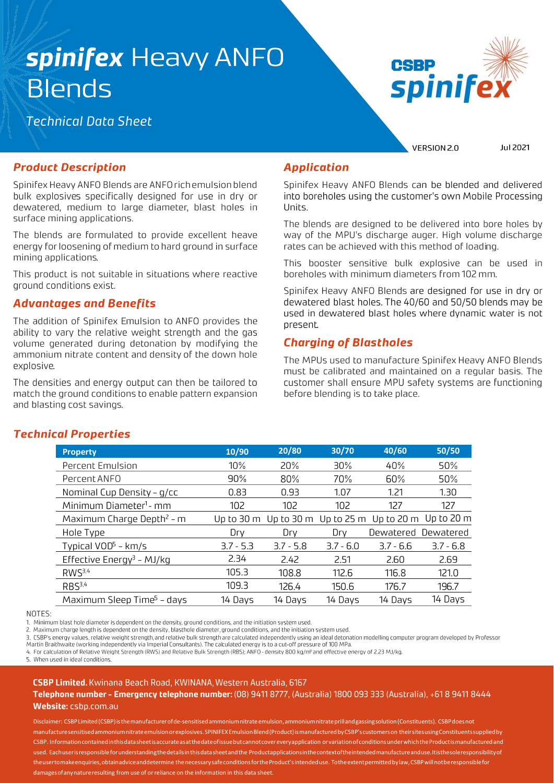# spinifex Heavy ANFO **Blends**

## **Technical Data Sheet**



VERSION 2.0

Jul 2021

### **Product Description**

Spinifex Heavy ANFO Blends are ANFO rich emulsion blend bulk explosives specifically designed for use in dry or dewatered, medium to large diameter, blast holes in surface mining applications.

The blends are formulated to provide excellent heave energy for loosening of medium to hard ground in surface mining applications.

This product is not suitable in situations where reactive ground conditions exist.

### **Advantages and Benefits**

The addition of Spinifex Emulsion to ANFO provides the ability to vary the relative weight strength and the gas volume generated during detonation by modifying the ammonium nitrate content and density of the down hole explosive.

The densities and energy output can then be tailored to match the ground conditions to enable pattern expansion and blasting cost savings.

### **Application**

Spinifex Heavy ANFO Blends can be blended and delivered into boreholes using the customer's own Mobile Processing Units.

The blends are designed to be delivered into bore holes by way of the MPU's discharge auger. High volume discharge rates can be achieved with this method of loading.

This booster sensitive bulk explosive can be used in boreholes with minimum diameters from 102 mm.

Spinifex Heavy ANFO Blends are designed for use in dry or dewatered blast holes. The 40/60 and 50/50 blends may be used in dewatered blast holes where dynamic water is not present.

### **Charging of Blastholes**

The MPUs used to manufacture Spinifex Heavy ANFO Blends must be calibrated and maintained on a regular basis. The customer shall ensure MPU safety systems are functioning before blending is to take place.

### **Technical Properties**

| <b>Property</b>                        | 10/90       | 20/80       | 30/70       | 40/60                                     | 50/50       |
|----------------------------------------|-------------|-------------|-------------|-------------------------------------------|-------------|
| Percent Emulsion                       | $10\%$      | 20%         | $30\%$      | 40%                                       | 50%         |
| Percent ANFO                           | $90\%$      | 80%         | 70%         | 60%                                       | 50%         |
| Nominal Cup Density - g/cc             | 0.83        | 0.93        | 1.07        | 1.21                                      | 1.30        |
| Minimum Diameter <sup>1</sup> - mm     | 102         | 102         | 102         | 127                                       | 127         |
| Maximum Charge Depth <sup>2</sup> - m  | Up to 30 m  | Up to 30 m  |             | Up to $25 \text{ m}$ Up to $20 \text{ m}$ | Up to 20 m  |
| Hole Type                              | Drv         | Drv         | Drv         | Dewatered                                 | Dewatered   |
| Typical $VOD5$ - km/s                  | $3.7 - 5.3$ | $3.7 - 5.8$ | $3.7 - 6.0$ | $3.7 - 6.6$                               | $3.7 - 6.8$ |
| Effective Energy <sup>3</sup> - MJ/kg  | 2.34        | 2.42        | 2.51        | 2.60                                      | 2.69        |
| RWS <sup>3,4</sup>                     | 105.3       | 108.8       | 112.6       | 116.8                                     | 121.0       |
| RBS <sup>3,4</sup>                     | 109.3       | 126.4       | 150.6       | 176.7                                     | 196.7       |
| Maximum Sleep Time <sup>5</sup> - days | 14 Days     | 14 Days     | 14 Days     | 14 Days                                   | 14 Days     |

NOTES:

1. Minimum blast hole diameter is dependent on the density, ground conditions, and the initiation system used.

2. Maximum charge length is dependent on the density, blasthole diameter, ground conditions, and the initiation system used.

3. CSBP's energy values, relative weight strength, and relative bulk strength are calculated independently using an ideal detonation modelling computer program developed by Professor Martin Braithwaite (working independently via Imperial Consultants). The calculated energy is to a cut-off pressure of 100 MPa.

4. For calculation of Relative Weight Strength (RWS) and Relative Bulk Strength (RBS); ANFO - density 800 kg/m<sup>3</sup> and effective energy of 2.23 MJ/kg.

5 When used in ideal conditions

#### CSBP Limited. Kwinana Beach Road, KWINANA, Western Australia, 6167

#### Telephone number - Emergency telephone number: (08) 9411 8777, (Australia) 1800 093 333 (Australia), +61 8 9411 8444 Website: csbp.com.au

Disclaimer: CSBP Limited (CSBP) is the manufacturer of de-sensitised ammoniumnitrate emulsion, ammoniumnitrate prill and gassing solution (Constituents). CSBP does not manufacture sensitised ammonium nitrate emulsion or explosives. SPINIFEX Emulsion Blend (Product) is manufactured by CSBP's customers on their sites using Constituents supplied by CSBP. Information contained in this data sheet is accurate as at the date of issue but cannot cover every application or variation of conditions under which the Product is manufactured and used. Each user is responsible for understanding the details in this data sheet and the Productapplications in the context of the intended manufacture and use. It is the sole responsibility of theusertomakeenquiries, obtainadviceanddetermine thenecessary safe conditions for the Product's intended use. To the extent permitted by law, CSBP will not be responsible for damages of any nature resulting from use of or reliance on the information in this data sheet.